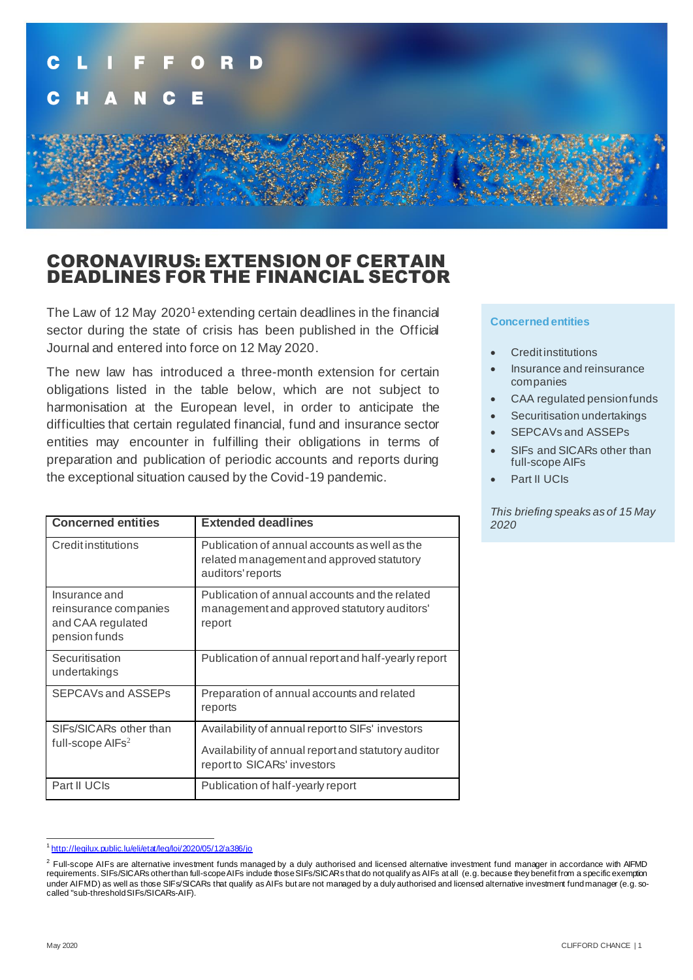

## CORONAVIRUS: EXTENSION OF CERTAIN DEADLINES FOR THE FINANCIAL SECTOR

The Law of 12 May 2020<sup>1</sup> extending certain deadlines in the financial sector during the state of crisis has been published in the Official Journal and entered into force on 12 May 2020.

The new law has introduced a three-month extension for certain obligations listed in the table below, which are not subject to harmonisation at the European level, in order to anticipate the difficulties that certain regulated financial, fund and insurance sector entities may encounter in fulfilling their obligations in terms of preparation and publication of periodic accounts and reports during the exceptional situation caused by the Covid-19 pandemic.

| <b>Concerned entities</b>                                                    | <b>Extended deadlines</b>                                                                                                              |
|------------------------------------------------------------------------------|----------------------------------------------------------------------------------------------------------------------------------------|
| Creditinstitutions                                                           | Publication of annual accounts as well as the<br>related management and approved statutory<br>auditors' reports                        |
| Insurance and<br>reinsurance companies<br>and CAA regulated<br>pension funds | Publication of annual accounts and the related<br>management and approved statutory auditors'<br>report                                |
| Securitisation<br>undertakings                                               | Publication of annual report and half-yearly report                                                                                    |
| SEPCAVs and ASSEPs                                                           | Preparation of annual accounts and related<br>reports                                                                                  |
| SIFs/SICARs other than<br>full-scope $AIFs2$                                 | Availability of annual report to SIFs' investors<br>Availability of annual report and statutory auditor<br>report to SICARs' investors |
| Part II UCIs                                                                 | Publication of half-yearly report                                                                                                      |

## **Concerned entities**

- **Credit institutions**
- Insurance and reinsurance companies
- CAA regulated pension funds
- Securitisation undertakings
- SEPCAVs and ASSEPs
- SIFs and SICARs other than full-scope AIFs
- Part II UCIs

*This briefing speaks as of 15 May 2020*

<sup>1</sup> <http://legilux.public.lu/eli/etat/leg/loi/2020/05/12/a386/jo>

 $^2$  Full-scope AIFs are alternative investment funds managed by a duly authorised and licensed alternative investment fund manager in accordance with AIFMD requirements. SIFs/SICARs other than full-scope AIFs include those SIFs/SICARs that do not qualify as AIFs at all (e.g. because they benefit from a specific exemption under AIFMD) as well as those SIFs/SICARs that qualify as AIFs but are not managed by a duly authorised and licensed alternative investment fund manager (e.g. socalled "sub-threshold SIFs/SICARs-AIF).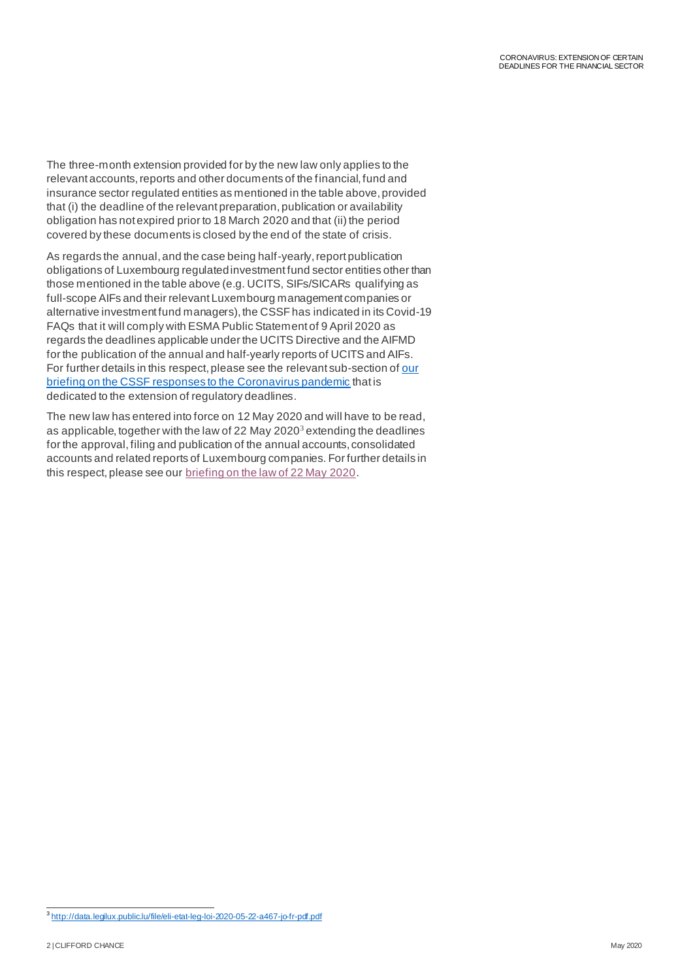The three-month extension provided for by the new law only applies to the relevant accounts, reports and other documents of the financial, fund and insurance sector regulated entities as mentioned in the table above, provided that (i) the deadline of the relevant preparation, publication or availability obligation has not expired prior to 18 March 2020 and that (ii) the period covered by these documents is closed by the end of the state of crisis.

As regards the annual, and the case being half-yearly, report publication obligations of Luxembourg regulated investment fund sector entities other than those mentioned in the table above (e.g. UCITS, SIFs/SICARs qualifying as full-scope AIFs and their relevant Luxembourg management companies or alternative investment fund managers), the CSSF has indicated in its Covid-19 FAQs that it will comply with ESMA Public Statement of 9 April 2020 as regards the deadlines applicable under the UCITS Directive and the AIFMD for the publication of the annual and half-yearly reports of UCITS and AIFs. For further details in this respect, please see the relevant sub-section of our [briefing on the CSSF responses to the Coronavirus pandemic](https://www.cliffordchance.com/briefings/2020/04/luxembourg-financial-sector-regulator-responds-to-the-coronaviru.html) that is dedicated to the extension of regulatory deadlines.

The new law has entered into force on 12 May 2020 and will have to be read, as applicable, together with the law of 22 May 2020 $3$  extending the deadlines for the approval, filing and publication of the annual accounts, consolidated accounts and related reports of Luxembourg companies. For further details in this respect, please see ou[r briefing on the law of 22 May 2020](https://www.cliffordchance.com/briefings/2020/03/covid-19--extension-of-deadline-for-the-filing-and-publication-o.html).

<sup>3</sup> <http://data.legilux.public.lu/file/eli-etat-leg-loi-2020-05-22-a467-jo-fr-pdf.pdf>